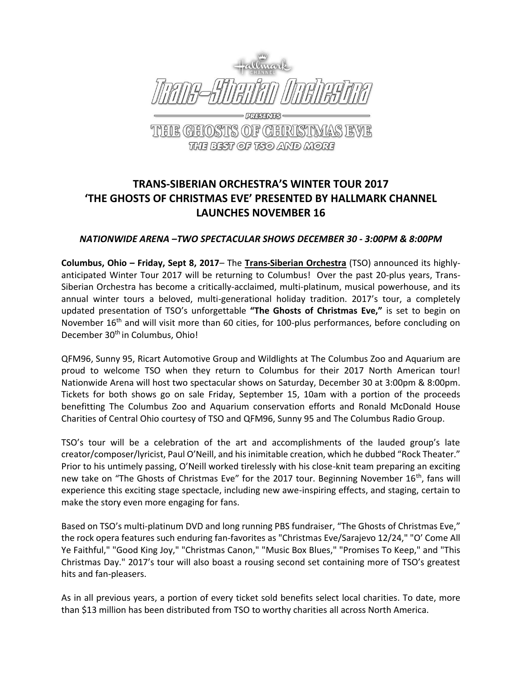

THE BEST OF TSO AND MORE

## **TRANS-SIBERIAN ORCHESTRA'S WINTER TOUR 2017 'THE GHOSTS OF CHRISTMAS EVE' PRESENTED BY HALLMARK CHANNEL LAUNCHES NOVEMBER 16**

## *NATIONWIDE ARENA –TWO SPECTACULAR SHOWS DECEMBER 30 - 3:00PM & 8:00PM*

**Columbus, Ohio – Friday, Sept 8, 2017**– The **[Trans-Siberian Orchestra](http://www.trans-siberian.com/)** (TSO) announced its highlyanticipated Winter Tour 2017 will be returning to Columbus! Over the past 20-plus years, Trans-Siberian Orchestra has become a critically-acclaimed, multi-platinum, musical powerhouse, and its annual winter tours a beloved, multi-generational holiday tradition. 2017's tour, a completely updated presentation of TSO's unforgettable **"The Ghosts of Christmas Eve,"** is set to begin on November 16<sup>th</sup> and will visit more than 60 cities, for 100-plus performances, before concluding on December 30<sup>th</sup> in Columbus, Ohio!

QFM96, Sunny 95, Ricart Automotive Group and Wildlights at The Columbus Zoo and Aquarium are proud to welcome TSO when they return to Columbus for their 2017 North American tour! Nationwide Arena will host two spectacular shows on Saturday, December 30 at 3:00pm & 8:00pm. Tickets for both shows go on sale Friday, September 15, 10am with a portion of the proceeds benefitting The Columbus Zoo and Aquarium conservation efforts and Ronald McDonald House Charities of Central Ohio courtesy of TSO and QFM96, Sunny 95 and The Columbus Radio Group.

TSO's tour will be a celebration of the art and accomplishments of the lauded group's late creator/composer/lyricist, Paul O'Neill, and his inimitable creation, which he dubbed "Rock Theater." Prior to his untimely passing, O'Neill worked tirelessly with his close-knit team preparing an exciting new take on "The Ghosts of Christmas Eve" for the 2017 tour. Beginning November 16<sup>th</sup>, fans will experience this exciting stage spectacle, including new awe-inspiring effects, and staging, certain to make the story even more engaging for fans.

Based on TSO's multi-platinum DVD and long running PBS fundraiser, "The Ghosts of Christmas Eve," the rock opera features such enduring fan-favorites as "Christmas Eve/Sarajevo 12/24," "O' Come All Ye Faithful," "Good King Joy," "Christmas Canon," "Music Box Blues," "Promises To Keep," and "This Christmas Day." 2017's tour will also boast a rousing second set containing more of TSO's greatest hits and fan-pleasers.

As in all previous years, a portion of every ticket sold benefits select local charities. To date, more than \$13 million has been distributed from TSO to worthy charities all across North America.